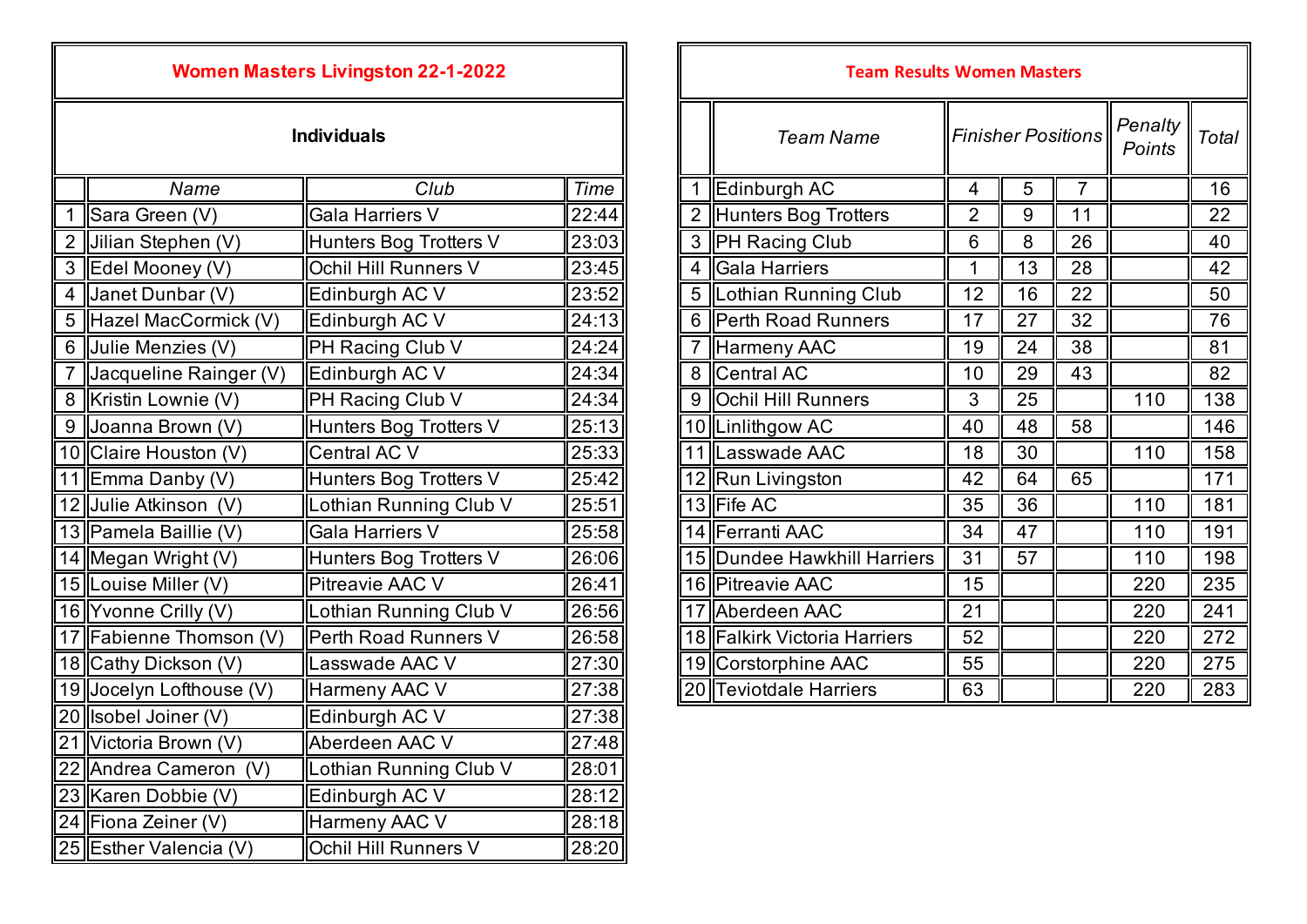| <b>Women Masters Livingston 22-1-2022</b> |                             |                        |       | <b>Team Results Women Masters</b> |                              |                |                 |                   |      |     |
|-------------------------------------------|-----------------------------|------------------------|-------|-----------------------------------|------------------------------|----------------|-----------------|-------------------|------|-----|
| <b>Individuals</b>                        |                             |                        |       | <b>Team Name</b>                  | <b>Finisher Positions</b>    |                |                 | Penalty<br>Points | Tota |     |
|                                           | Name                        | Club                   | Time  | 1                                 | Edinburgh AC                 | 4              | 5               | 7                 |      | 16  |
|                                           | Sara Green (V)              | <b>Gala Harriers V</b> | 22:44 | $\overline{2}$                    | Hunters Bog Trotters         | $\overline{2}$ | 9               | 11                |      | 22  |
| $\overline{2}$                            | Jilian Stephen (V)          | Hunters Bog Trotters V | 23:03 | $\mathbf{3}$                      | <b>PH Racing Club</b>        | $6\,$          | $\,8\,$         | 26                |      | 40  |
|                                           | 3 Edel Mooney (V)           | Ochil Hill Runners V   | 23:45 | $\overline{4}$                    | <b>Gala Harriers</b>         | $\mathbf{1}$   | 13              | 28                |      | 42  |
| 4                                         | Janet Dunbar (V)            | Edinburgh AC V         | 23:52 | 5                                 | Lothian Running Club         | 12             | 16              | 22                |      | 50  |
|                                           | 5 Hazel MacCormick (V)      | Edinburgh AC V         | 24:13 | 6                                 | <b>Perth Road Runners</b>    | 17             | 27              | 32                |      | 76  |
|                                           | 6 Julie Menzies (V)         | PH Racing Club V       | 24:24 | $\overline{7}$                    | <b>Harmeny AAC</b>           | 19             | 24              | 38                |      | 81  |
| $\overline{7}$                            | Jacqueline Rainger (V)      | Edinburgh AC V         | 24:34 | 8                                 | Central AC                   | 10             | 29              | 43                |      | 82  |
| 8                                         | Kristin Lownie (V)          | PH Racing Club V       | 24:34 | 9                                 | <b>Ochil Hill Runners</b>    | $\mathfrak{Z}$ | $\overline{25}$ |                   | 110  | 138 |
| 9                                         | Joanna Brown (V)            | Hunters Bog Trotters V | 25:13 |                                   | 10  Linlithgow AC            | 40             | 48              | 58                |      | 146 |
|                                           | 10 Claire Houston (V)       | <b>Central AC V</b>    | 25:33 |                                   | 11 Lasswade AAC              | 18             | 30              |                   | 110  | 158 |
|                                           | 11 Emma Danby (V)           | Hunters Bog Trotters V | 25:42 |                                   | 12 Run Livingston            | 42             | 64              | 65                |      | 171 |
|                                           | 12 Julie Atkinson (V)       | Lothian Running Club V | 25:51 |                                   | 13 Fife AC                   | 35             | 36              |                   | 110  | 181 |
|                                           | 13 Pamela Baillie (V)       | <b>Gala Harriers V</b> | 25:58 |                                   | 14 Ferranti AAC              | 34             | $\overline{47}$ |                   | 110  | 191 |
|                                           | 14 Megan Wright (V)         | Hunters Bog Trotters V | 26:06 |                                   | 15 Dundee Hawkhill Harriers  | 31             | 57              |                   | 110  | 198 |
|                                           | 15 Louise Miller (V)        | Pitreavie AAC V        | 26:41 |                                   | 16 Pitreavie AAC             | 15             |                 |                   | 220  | 235 |
|                                           | 16 Yvonne Crilly (V)        | Lothian Running Club V | 26:56 | 17                                | Aberdeen AAC                 | 21             |                 |                   | 220  | 241 |
|                                           | 17 Fabienne Thomson (V)     | Perth Road Runners V   | 26:58 |                                   | 18 Falkirk Victoria Harriers | 52             |                 |                   | 220  | 272 |
|                                           | 18 Cathy Dickson (V)        | asswade AAC V          | 27:30 |                                   | 19 Corstorphine AAC          | 55             |                 |                   | 220  | 275 |
|                                           | 19 Jocelyn Lofthouse (V)    | Harmeny AAC V          | 27:38 |                                   | 20 Teviotdale Harriers       | 63             |                 |                   | 220  | 283 |
|                                           | 20 <b>Isobel Joiner (V)</b> | Edinburgh AC V         | 27:38 |                                   |                              |                |                 |                   |      |     |
|                                           | 21 Victoria Brown (V)       | Aberdeen AAC V         | 27:48 |                                   |                              |                |                 |                   |      |     |
|                                           | 22 Andrea Cameron (V)       | Lothian Running Club V | 28:01 |                                   |                              |                |                 |                   |      |     |
|                                           | 23 Karen Dobbie (V)         | Edinburgh AC V         | 28:12 |                                   |                              |                |                 |                   |      |     |
|                                           | 24 Fiona Zeiner (V)         | Harmeny AAC V          | 28:18 |                                   |                              |                |                 |                   |      |     |
|                                           | 25 Esther Valencia (V)      | Ochil Hill Runners V   | 28:20 |                                   |                              |                |                 |                   |      |     |

| <b>Women Masters Livingston 22-1-2022</b> |                        |       |  | <b>Team Results Women Masters</b> |                              |                           |    |                |                   |       |  |
|-------------------------------------------|------------------------|-------|--|-----------------------------------|------------------------------|---------------------------|----|----------------|-------------------|-------|--|
| <b>Individuals</b>                        |                        |       |  |                                   | <b>Team Name</b>             | <b>Finisher Positions</b> |    |                | Penalty<br>Points | Total |  |
| Name                                      | Club                   | Time  |  |                                   | Edinburgh AC                 | $\overline{4}$            | 5  | $\overline{7}$ |                   | 16    |  |
| en (V)                                    | Gala Harriers V        | 22:44 |  | 2                                 | Hunters Bog Trotters         | $\overline{2}$            | 9  | 11             |                   | 22    |  |
| phen (V)                                  | Hunters Bog Trotters V | 23:03 |  |                                   | 3   PH Racing Club           | 6                         | 8  | 26             |                   | 40    |  |
| ney (V)                                   | Ochil Hill Runners V   | 23:45 |  | 4                                 | Gala Harriers                |                           | 13 | 28             |                   | 42    |  |
| าbar (V)                                  | Edinburgh AC V         | 23:52 |  | 5                                 | Lothian Running Club         | 12                        | 16 | 22             |                   | 50    |  |
| cCormick (V)                              | Edinburgh AC V         | 24:13 |  | 6                                 | Perth Road Runners           | 17                        | 27 | 32             |                   | 76    |  |
| izies (V)                                 | PH Racing Club V       | 24:24 |  |                                   | Harmeny AAC                  | 19                        | 24 | 38             |                   | 81    |  |
| e Rainger (V)                             | Edinburgh AC V         | 24:34 |  |                                   | 8 Central AC                 | 10                        | 29 | 43             |                   | 82    |  |
| wnie (V)                                  | PH Racing Club V       | 24:34 |  |                                   | 9 <b>Ochil Hill Runners</b>  | $\mathbf{3}$              | 25 |                | 110               | 138   |  |
| rown (V)                                  | Hunters Bog Trotters V | 25:13 |  |                                   | 10  Linlithgow AC            | 40                        | 48 | 58             |                   | 146   |  |
| uston (V)                                 | Central AC V           | 25:33 |  |                                   | 11 Lasswade AAC              | 18                        | 30 |                | 110               | 158   |  |
| unby(V)                                   | Hunters Bog Trotters V | 25:42 |  |                                   | 12 Run Livingston            | 42                        | 64 | 65             |                   | 171   |  |
| าson (V)                                  | Lothian Running Club V | 25:51 |  |                                   | 13 Fife AC                   | 35                        | 36 |                | 110               | 181   |  |
| aillie (V)                                | Gala Harriers V        | 25:58 |  |                                   | 14 Ferranti AAC              | 34                        | 47 |                | 110               | 191   |  |
| right (V)                                 | Hunters Bog Trotters V | 26:06 |  |                                   | 15 Dundee Hawkhill Harriers  | 31                        | 57 |                | 110               | 198   |  |
| iller (V)                                 | Pitreavie AAC V        | 26:41 |  |                                   | 16 Pitreavie AAC             | 15                        |    |                | 220               | 235   |  |
| $\mathsf{rilly}\left(\mathsf{V}\right)$   | Lothian Running Club V | 26:56 |  |                                   | 17 Aberdeen AAC              | 21                        |    |                | 220               | 241   |  |
| Thomson (V)                               | Perth Road Runners V   | 26:58 |  |                                   | 18 Falkirk Victoria Harriers | 52                        |    |                | 220               | 272   |  |
| :kson (V)                                 | Lasswade AAC V         | 27:30 |  |                                   | 19 Corstorphine AAC          | 55                        |    |                | 220               | 275   |  |
| ofthouse (V)                              | Harmeny AAC V          | 27:38 |  |                                   | 20 Teviotdale Harriers       | 63                        |    |                | 220               | 283   |  |
|                                           |                        |       |  |                                   |                              |                           |    |                |                   |       |  |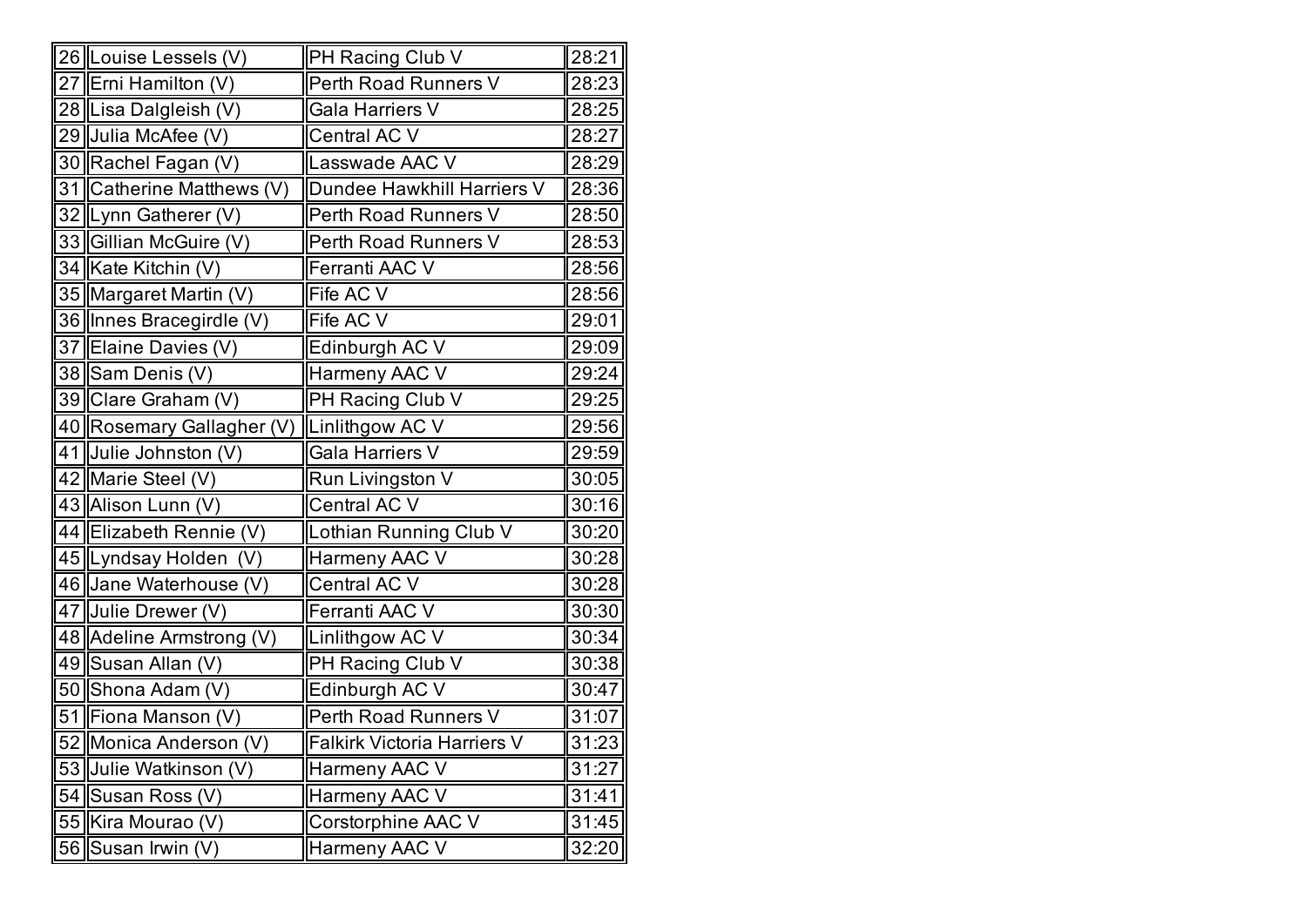|    | 26  Louise Lessels (V)    | PH Racing Club V            | 28:21 |
|----|---------------------------|-----------------------------|-------|
|    | 27 Erni Hamilton (V)      | Perth Road Runners V        | 28:23 |
|    | 28 Lisa Dalgleish (V)     | Gala Harriers V             | 28:25 |
|    | 29 Julia McAfee (V)       | Central AC V                | 28:27 |
|    | 30 Rachel Fagan (V)       | Lasswade AAC V              | 28:29 |
|    | 31 Catherine Matthews (V) | Dundee Hawkhill Harriers V  | 28:36 |
|    | 32 Lynn Gatherer (V)      | Perth Road Runners V        | 28:50 |
|    | 33 Gillian McGuire (V)    | Perth Road Runners V        | 28:53 |
|    | 34 Kate Kitchin (V)       | Ferranti AAC V              | 28:56 |
|    | 35 Margaret Martin (V)    | Fife AC V                   | 28:56 |
|    | 36 Innes Bracegirdle (V)  | Fife AC V                   | 29:01 |
|    | 37 Elaine Davies (V)      | Edinburgh AC V              | 29:09 |
|    | 38 Sam Denis (V)          | Harmeny AAC V               | 29:24 |
|    | 39 Clare Graham (V)       | PH Racing Club V            | 29:25 |
|    | 40 Rosemary Gallagher (V) | Linlithgow AC V             | 29:56 |
|    | 41 Julie Johnston (V)     | Gala Harriers V             | 29:59 |
|    | 42 Marie Steel (V)        | Run Livingston V            | 30:05 |
|    | 43 Alison Lunn (V)        | Central AC V                | 30:16 |
|    | 44 Elizabeth Rennie (V)   | Lothian Running Club V      | 30:20 |
|    | 45 Lyndsay Holden<br>(V)  | Harmeny AAC V               | 30:28 |
|    | 46 Jane Waterhouse (V)    | Central AC V                | 30:28 |
|    | 47 Julie Drewer (V)       | Ferranti AAC V              | 30:30 |
|    | 48 Adeline Armstrong (V)  | Linlithgow AC V             | 30:34 |
|    | 49 Susan Allan (V)        | PH Racing Club V            | 30:38 |
|    | 50 Shona Adam (V)         | Edinburgh AC V              | 30:47 |
|    | 51 Fiona Manson (V)       | Perth Road Runners V        | 31:07 |
|    | 52 Monica Anderson (V)    | Falkirk Victoria Harriers V | 31:23 |
|    | 53 Julie Watkinson (V)    | Harmeny AAC V               | 31:27 |
|    | 54 Susan Ross (V)         | Harmeny AAC V               | 31:41 |
|    | 55   Kira Mourao (V)      | Corstorphine AAC V          | 31:45 |
| 56 | Susan Irwin (V)           | Harmeny AAC V               | 32:20 |